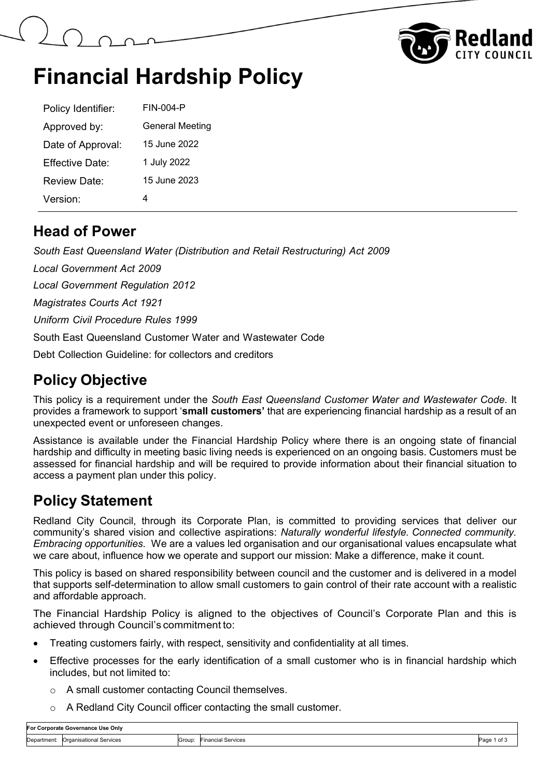



# **Financial Hardship Policy**

| Policy Identifier:  | <b>FIN-004-P</b>       |
|---------------------|------------------------|
| Approved by:        | <b>General Meeting</b> |
| Date of Approval:   | 15 June 2022           |
| Effective Date:     | 1 July 2022            |
| <b>Review Date:</b> | 15 June 2023           |
| Version:            | 4                      |

#### **Head of Power**

*South East Queensland Water (Distribution and Retail Restructuring) Act 2009*

*Local Government Act 2009*

*Local Government Regulation 2012*

*Magistrates Courts Act 1921*

*Uniform Civil Procedure Rules 1999*

South East Queensland Customer Water and Wastewater Code

Debt Collection Guideline: for collectors and creditors

### **Policy Objective**

This policy is a requirement under the *South East Queensland Customer Water and Wastewater Code*. It provides a framework to support '**small customers'** that are experiencing financial hardship as a result of an unexpected event or unforeseen changes.

Assistance is available under the Financial Hardship Policy where there is an ongoing state of financial hardship and difficulty in meeting basic living needs is experienced on an ongoing basis. Customers must be assessed for financial hardship and will be required to provide information about their financial situation to access a payment plan under this policy.

### **Policy Statement**

Redland City Council, through its Corporate Plan, is committed to providing services that deliver our community's shared vision and collective aspirations: *Naturally wonderful lifestyle. Connected community. Embracing opportunities.* We are a values led organisation and our organisational values encapsulate what we care about, influence how we operate and support our mission: Make a difference, make it count.

This policy is based on shared responsibility between council and the customer and is delivered in a model that supports self-determination to allow small customers to gain control of their rate account with a realistic and affordable approach.

The Financial Hardship Policy is aligned to the objectives of Council's Corporate Plan and this is achieved through Council's commitment to:

- Treating customers fairly, with respect, sensitivity and confidentiality at all times.
- Effective processes for the early identification of a small customer who is in financial hardship which includes, but not limited to:
	- o A small customer contacting Council themselves.
	- o A Redland City Council officer contacting the small customer.

| For Corporate Governance Use Onlv |                              |        |                            |                 |
|-----------------------------------|------------------------------|--------|----------------------------|-----------------|
| Department:                       | Organisational Services<br>. | Group: | l Services<br>inancia<br>. | 'of ა<br>Page 1 |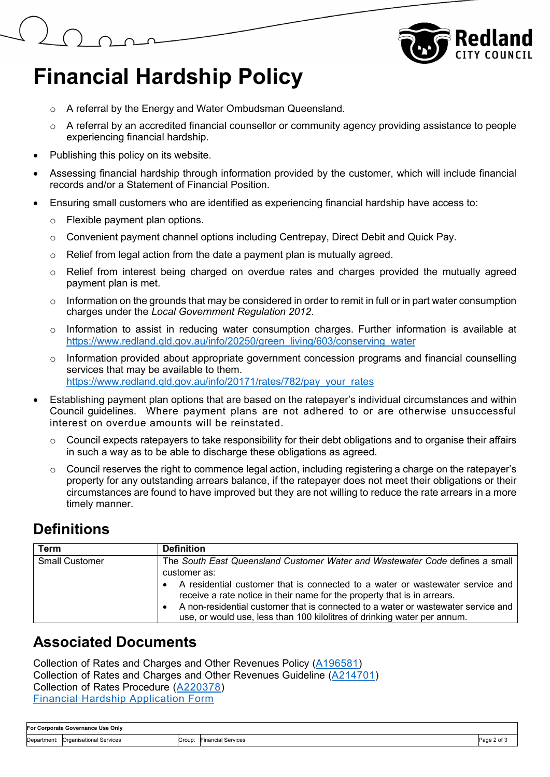

# **Financial Hardship Policy**

- o A referral by the Energy and Water Ombudsman Queensland.
- o A referral by an accredited financial counsellor or community agency providing assistance to people experiencing financial hardship.
- Publishing this policy on its website.
- Assessing financial hardship through information provided by the customer, which will include financial records and/or a Statement of Financial Position.
- Ensuring small customers who are identified as experiencing financial hardship have access to:
	- o Flexible payment plan options.
	- o Convenient payment channel options including Centrepay, Direct Debit and Quick Pay.
	- o Relief from legal action from the date a payment plan is mutually agreed.
	- $\circ$  Relief from interest being charged on overdue rates and charges provided the mutually agreed payment plan is met.
	- $\circ$  Information on the grounds that may be considered in order to remit in full or in part water consumption charges under the *Local Government Regulation 2012*.
	- $\circ$  Information to assist in reducing water consumption charges. Further information is available at [https://www.redland.qld.gov.au/info/20250/green\\_living/603/conserving\\_water](https://www.redland.qld.gov.au/info/20250/green_living/603/conserving_water)
	- o Information provided about appropriate government concession programs and financial counselling services that may be available to them. [https://www.redland.qld.gov.au/info/20171/rates/782/pay\\_your\\_rates](https://www.redland.qld.gov.au/info/20171/rates/782/pay_your_rates)
- Establishing payment plan options that are based on the ratepayer's individual circumstances and within Council guidelines. Where payment plans are not adhered to or are otherwise unsuccessful interest on overdue amounts will be reinstated.
	- $\circ$  Council expects ratepayers to take responsibility for their debt obligations and to organise their affairs in such a way as to be able to discharge these obligations as agreed.
	- o Council reserves the right to commence legal action, including registering a charge on the ratepayer's property for any outstanding arrears balance, if the ratepayer does not meet their obligations or their circumstances are found to have improved but they are not willing to reduce the rate arrears in a more timely manner.

### **Definitions**

| Term                  | <b>Definition</b>                                                                                                                                                                                                                                                                                                          |
|-----------------------|----------------------------------------------------------------------------------------------------------------------------------------------------------------------------------------------------------------------------------------------------------------------------------------------------------------------------|
| <b>Small Customer</b> | The South East Queensland Customer Water and Wastewater Code defines a small                                                                                                                                                                                                                                               |
|                       | customer as:                                                                                                                                                                                                                                                                                                               |
|                       | A residential customer that is connected to a water or wastewater service and<br>receive a rate notice in their name for the property that is in arrears.<br>A non-residential customer that is connected to a water or wastewater service and<br>use, or would use, less than 100 kilolitres of drinking water per annum. |

#### **Associated Documents**

Collection of Rates and Charges and Other Revenues Policy [\(A196581\)](https://edrms-prd.rccprd.redland.qld.gov.au/id:A196581/document/versions/published) Collection of Rates and Charges and Other Revenues Guideline [\(A214701\)](https://edrms-prd.rccprd.redland.qld.gov.au/id:A214701/document/versions/published) Collection of Rates Procedure [\(A220378\)](https://edrms-prd.rccprd.redland.qld.gov.au/id:A220378/document/versions/published) [Financial Hardship Application Form](https://www.redland.qld.gov.au/download/downloads/id/3569/financial_hardship_application.pdf)

| For Corporate Governance Use Only |                                     |  |                           |             |
|-----------------------------------|-------------------------------------|--|---------------------------|-------------|
|                                   | Department: Organisational Services |  | Group: Financial Services | Page 2 of 3 |